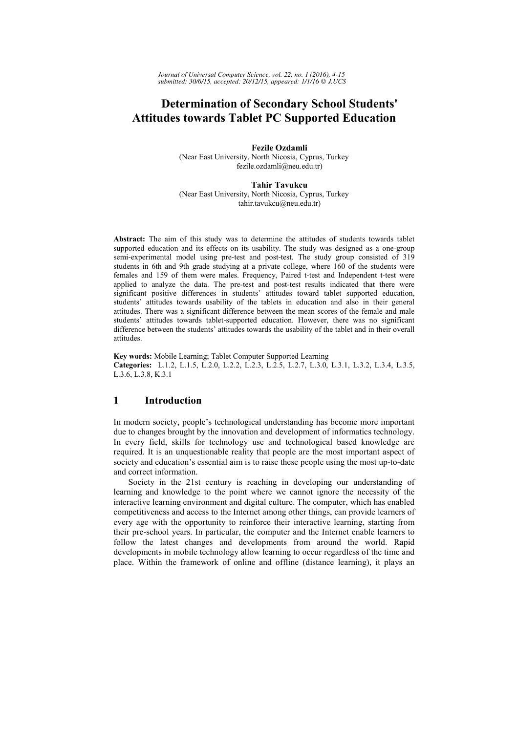# **Determination of Secondary School Students' Attitudes towards Tablet PC Supported Education**

**Fezile Ozdamli**  (Near East University, North Nicosia, Cyprus, Turkey fezile.ozdamli@neu.edu.tr)

**Tahir Tavukcu**  (Near East University, North Nicosia, Cyprus, Turkey tahir.tavukcu@neu.edu.tr)

**Abstract:** The aim of this study was to determine the attitudes of students towards tablet supported education and its effects on its usability. The study was designed as a one-group semi-experimental model using pre-test and post-test. The study group consisted of 319 students in 6th and 9th grade studying at a private college, where 160 of the students were females and 159 of them were males. Frequency, Paired t-test and Independent t-test were applied to analyze the data. The pre-test and post-test results indicated that there were significant positive differences in students' attitudes toward tablet supported education, students' attitudes towards usability of the tablets in education and also in their general attitudes. There was a significant difference between the mean scores of the female and male students' attitudes towards tablet-supported education. However, there was no significant difference between the students' attitudes towards the usability of the tablet and in their overall attitudes.

**Key words:** Mobile Learning; Tablet Computer Supported Learning **Categories:** L.1.2, L.1.5, L.2.0, L.2.2, L.2.3, L.2.5, L.2.7, L.3.0, L.3.1, L.3.2, L.3.4, L.3.5, L.3.6, L.3.8, K.3.1

# **1 Introduction**

In modern society, people's technological understanding has become more important due to changes brought by the innovation and development of informatics technology. In every field, skills for technology use and technological based knowledge are required. It is an unquestionable reality that people are the most important aspect of society and education's essential aim is to raise these people using the most up-to-date and correct information.

Society in the 21st century is reaching in developing our understanding of learning and knowledge to the point where we cannot ignore the necessity of the interactive learning environment and digital culture. The computer, which has enabled competitiveness and access to the Internet among other things, can provide learners of every age with the opportunity to reinforce their interactive learning, starting from their pre-school years. In particular, the computer and the Internet enable learners to follow the latest changes and developments from around the world. Rapid developments in mobile technology allow learning to occur regardless of the time and place. Within the framework of online and offline (distance learning), it plays an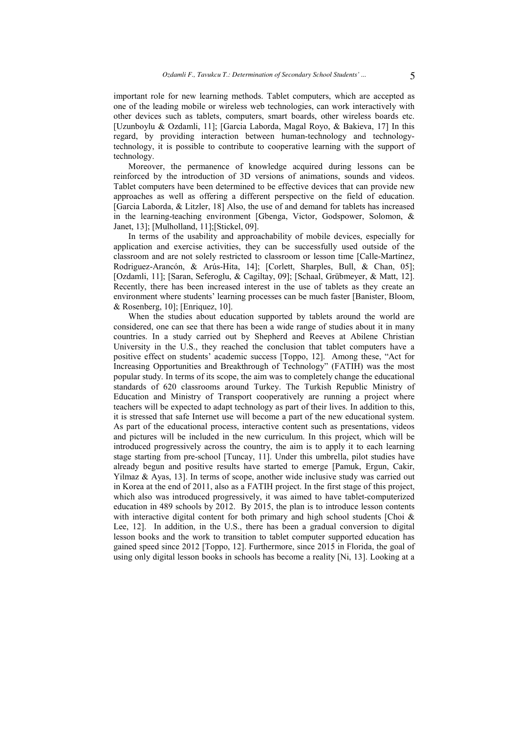important role for new learning methods. Tablet computers, which are accepted as one of the leading mobile or wireless web technologies, can work interactively with other devices such as tablets, computers, smart boards, other wireless boards etc. [Uzunboylu & Ozdamli, 11]; [Garcia Laborda, Magal Royo, & Bakieva, 17] In this regard, by providing interaction between human-technology and technologytechnology, it is possible to contribute to cooperative learning with the support of technology.

Moreover, the permanence of knowledge acquired during lessons can be reinforced by the introduction of 3D versions of animations, sounds and videos. Tablet computers have been determined to be effective devices that can provide new approaches as well as offering a different perspective on the field of education. [Garcia Laborda, & Litzler, 18] Also, the use of and demand for tablets has increased in the learning-teaching environment [Gbenga, Victor, Godspower, Solomon, & Janet, 13]; [Mulholland, 11];[Stickel, 09].

In terms of the usability and approachability of mobile devices, especially for application and exercise activities, they can be successfully used outside of the classroom and are not solely restricted to classroom or lesson time [Calle-Martínez, Rodriguez-Arancón, & Arús-Hita, 14]; [Corlett, Sharples, Bull, & Chan, 05]; [Ozdamli, 11]; [Saran, Seferoglu, & Cagiltay, 09]; [Schaal, Grübmeyer, & Matt, 12]. Recently, there has been increased interest in the use of tablets as they create an environment where students' learning processes can be much faster [Banister, Bloom, & Rosenberg, 10]; [Enriquez, 10].

When the studies about education supported by tablets around the world are considered, one can see that there has been a wide range of studies about it in many countries. In a study carried out by Shepherd and Reeves at Abilene Christian University in the U.S., they reached the conclusion that tablet computers have a positive effect on students' academic success [Toppo, 12]. Among these, "Act for Increasing Opportunities and Breakthrough of Technology" (FATIH) was the most popular study. In terms of its scope, the aim was to completely change the educational standards of 620 classrooms around Turkey. The Turkish Republic Ministry of Education and Ministry of Transport cooperatively are running a project where teachers will be expected to adapt technology as part of their lives. In addition to this, it is stressed that safe Internet use will become a part of the new educational system. As part of the educational process, interactive content such as presentations, videos and pictures will be included in the new curriculum. In this project, which will be introduced progressively across the country, the aim is to apply it to each learning stage starting from pre-school [Tuncay, 11]. Under this umbrella, pilot studies have already begun and positive results have started to emerge [Pamuk, Ergun, Cakir, Yilmaz  $\&$  Ayas, 13]. In terms of scope, another wide inclusive study was carried out in Korea at the end of 2011, also as a FATIH project. In the first stage of this project, which also was introduced progressively, it was aimed to have tablet-computerized education in 489 schools by 2012. By 2015, the plan is to introduce lesson contents with interactive digital content for both primary and high school students [Choi  $\&$ Lee, 12]. In addition, in the U.S., there has been a gradual conversion to digital lesson books and the work to transition to tablet computer supported education has gained speed since 2012 [Toppo, 12]. Furthermore, since 2015 in Florida, the goal of using only digital lesson books in schools has become a reality [Ni, 13]. Looking at a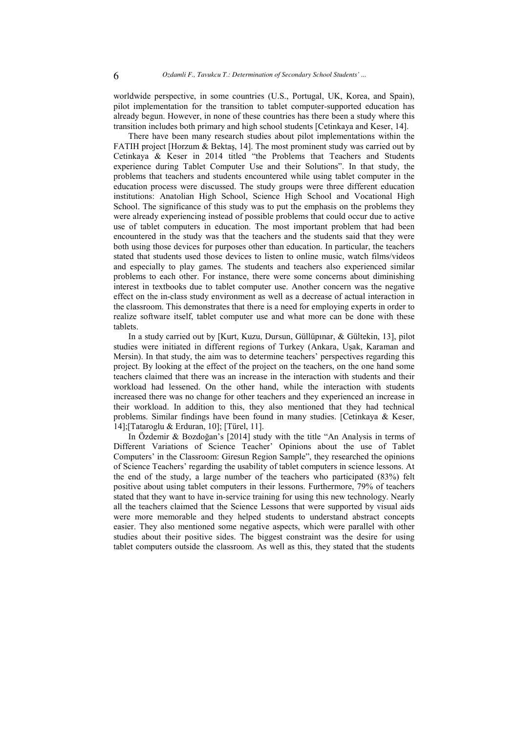worldwide perspective, in some countries (U.S., Portugal, UK, Korea, and Spain), pilot implementation for the transition to tablet computer-supported education has already begun. However, in none of these countries has there been a study where this transition includes both primary and high school students [Cetinkaya and Keser, 14].

There have been many research studies about pilot implementations within the FATIH project [Horzum & Bektas, 14]. The most prominent study was carried out by Cetinkaya & Keser in 2014 titled "the Problems that Teachers and Students experience during Tablet Computer Use and their Solutions". In that study, the problems that teachers and students encountered while using tablet computer in the education process were discussed. The study groups were three different education institutions: Anatolian High School, Science High School and Vocational High School. The significance of this study was to put the emphasis on the problems they were already experiencing instead of possible problems that could occur due to active use of tablet computers in education. The most important problem that had been encountered in the study was that the teachers and the students said that they were both using those devices for purposes other than education. In particular, the teachers stated that students used those devices to listen to online music, watch films/videos and especially to play games. The students and teachers also experienced similar problems to each other. For instance, there were some concerns about diminishing interest in textbooks due to tablet computer use. Another concern was the negative effect on the in-class study environment as well as a decrease of actual interaction in the classroom. This demonstrates that there is a need for employing experts in order to realize software itself, tablet computer use and what more can be done with these tablets.

In a study carried out by [Kurt, Kuzu, Dursun, Güllüpınar, & Gültekin, 13], pilot studies were initiated in different regions of Turkey (Ankara, Uşak, Karaman and Mersin). In that study, the aim was to determine teachers' perspectives regarding this project. By looking at the effect of the project on the teachers, on the one hand some teachers claimed that there was an increase in the interaction with students and their workload had lessened. On the other hand, while the interaction with students increased there was no change for other teachers and they experienced an increase in their workload. In addition to this, they also mentioned that they had technical problems. Similar findings have been found in many studies. [Cetinkaya & Keser, 14];[Tataroglu & Erduran, 10]; [Türel, 11].

In Özdemir & Bozdoğan's [2014] study with the title "An Analysis in terms of Different Variations of Science Teacher' Opinions about the use of Tablet Computers' in the Classroom: Giresun Region Sample", they researched the opinions of Science Teachers' regarding the usability of tablet computers in science lessons. At the end of the study, a large number of the teachers who participated (83%) felt positive about using tablet computers in their lessons. Furthermore, 79% of teachers stated that they want to have in-service training for using this new technology. Nearly all the teachers claimed that the Science Lessons that were supported by visual aids were more memorable and they helped students to understand abstract concepts easier. They also mentioned some negative aspects, which were parallel with other studies about their positive sides. The biggest constraint was the desire for using tablet computers outside the classroom. As well as this, they stated that the students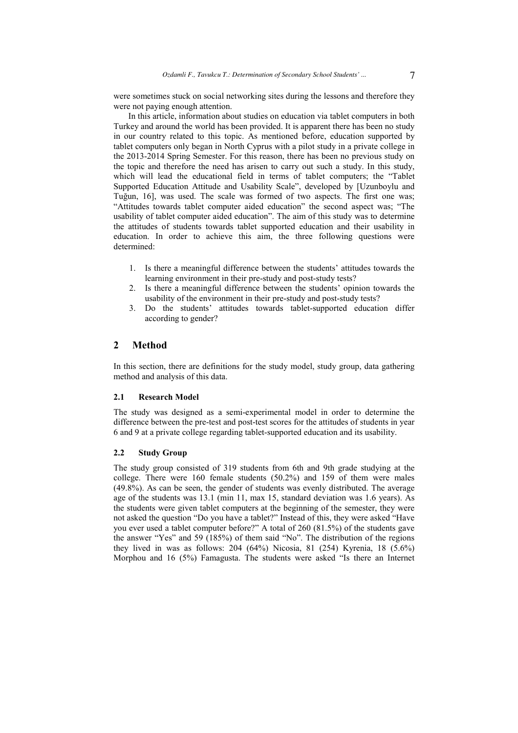were sometimes stuck on social networking sites during the lessons and therefore they were not paying enough attention.

In this article, information about studies on education via tablet computers in both Turkey and around the world has been provided. It is apparent there has been no study in our country related to this topic. As mentioned before, education supported by tablet computers only began in North Cyprus with a pilot study in a private college in the 2013-2014 Spring Semester. For this reason, there has been no previous study on the topic and therefore the need has arisen to carry out such a study. In this study, which will lead the educational field in terms of tablet computers; the "Tablet Supported Education Attitude and Usability Scale", developed by [Uzunboylu and Tuğun, 16], was used. The scale was formed of two aspects. The first one was; "Attitudes towards tablet computer aided education" the second aspect was; "The usability of tablet computer aided education". The aim of this study was to determine the attitudes of students towards tablet supported education and their usability in education. In order to achieve this aim, the three following questions were determined:

- 1. Is there a meaningful difference between the students' attitudes towards the learning environment in their pre-study and post-study tests?
- 2. Is there a meaningful difference between the students' opinion towards the usability of the environment in their pre-study and post-study tests?
- 3. Do the students' attitudes towards tablet-supported education differ according to gender?

### **2 Method**

In this section, there are definitions for the study model, study group, data gathering method and analysis of this data.

#### **2.1 Research Model**

The study was designed as a semi-experimental model in order to determine the difference between the pre-test and post-test scores for the attitudes of students in year 6 and 9 at a private college regarding tablet-supported education and its usability.

#### **2.2 Study Group**

The study group consisted of 319 students from 6th and 9th grade studying at the college. There were 160 female students (50.2%) and 159 of them were males (49.8%). As can be seen, the gender of students was evenly distributed. The average age of the students was 13.1 (min 11, max 15, standard deviation was 1.6 years). As the students were given tablet computers at the beginning of the semester, they were not asked the question "Do you have a tablet?" Instead of this, they were asked "Have you ever used a tablet computer before?" A total of 260 (81.5%) of the students gave the answer "Yes" and 59 (185%) of them said "No". The distribution of the regions they lived in was as follows: 204 (64%) Nicosia, 81 (254) Kyrenia, 18 (5.6%) Morphou and 16 (5%) Famagusta. The students were asked "Is there an Internet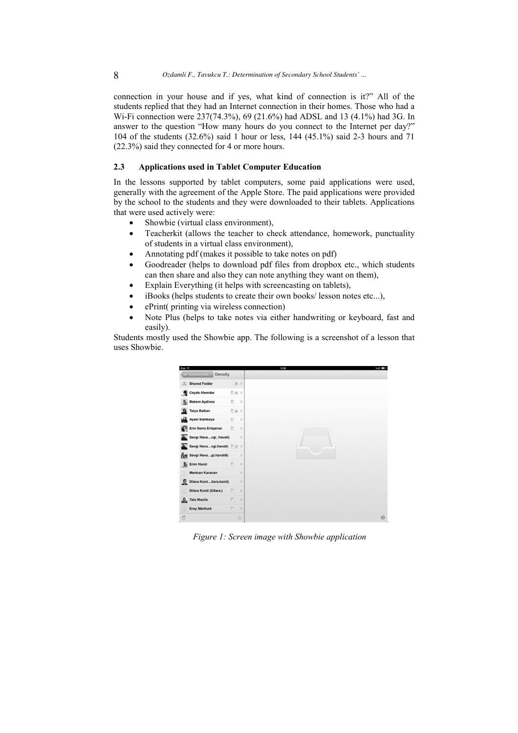connection in your house and if yes, what kind of connection is it?" All of the students replied that they had an Internet connection in their homes. Those who had a Wi-Fi connection were 237(74.3%), 69 (21.6%) had ADSL and 13 (4.1%) had 3G. In answer to the question "How many hours do you connect to the Internet per day?" 104 of the students (32.6%) said 1 hour or less, 144 (45.1%) said 2-3 hours and 71 (22.3%) said they connected for 4 or more hours.

# **2.3 Applications used in Tablet Computer Education**

In the lessons supported by tablet computers, some paid applications were used, generally with the agreement of the Apple Store. The paid applications were provided by the school to the students and they were downloaded to their tablets. Applications that were used actively were:

- Showbie (virtual class environment),
- Teacherkit (allows the teacher to check attendance, homework, punctuality of students in a virtual class environment),
- Annotating pdf (makes it possible to take notes on pdf)
- Goodreader (helps to download pdf files from dropbox etc., which students can then share and also they can note anything they want on them),
- Explain Everything (it helps with screencasting on tablets),
- iBooks (helps students to create their own books/ lesson notes etc...),
- ePrint( printing via wireless connection)
- Note Plus (helps to take notes via either handwriting or keyboard, fast and easily).

Students mostly used the Showbie app. The following is a screenshot of a lesson that uses Showbie.



*Figure 1: Screen image with Showbie application*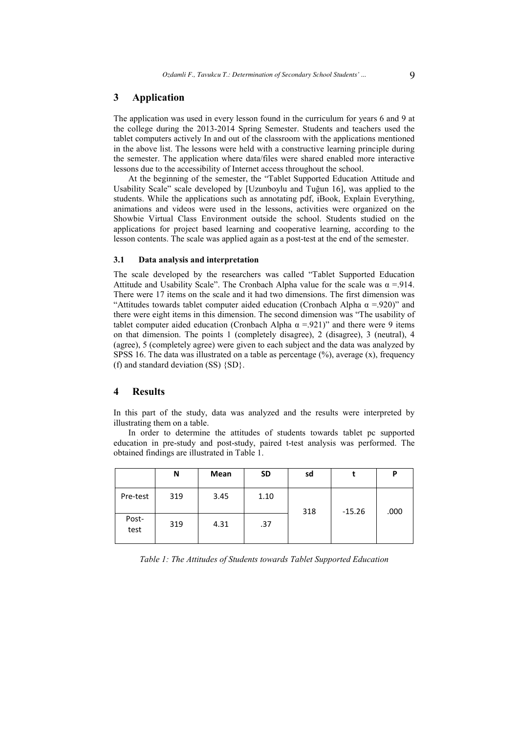### **3 Application**

The application was used in every lesson found in the curriculum for years 6 and 9 at the college during the 2013-2014 Spring Semester. Students and teachers used the tablet computers actively In and out of the classroom with the applications mentioned in the above list. The lessons were held with a constructive learning principle during the semester. The application where data/files were shared enabled more interactive lessons due to the accessibility of Internet access throughout the school.

At the beginning of the semester, the "Tablet Supported Education Attitude and Usability Scale" scale developed by [Uzunboylu and Tuğun 16], was applied to the students. While the applications such as annotating pdf, iBook, Explain Everything, animations and videos were used in the lessons, activities were organized on the Showbie Virtual Class Environment outside the school. Students studied on the applications for project based learning and cooperative learning, according to the lesson contents. The scale was applied again as a post-test at the end of the semester.

#### **3.1 Data analysis and interpretation**

The scale developed by the researchers was called "Tablet Supported Education Attitude and Usability Scale". The Cronbach Alpha value for the scale was  $\alpha = 914$ . There were 17 items on the scale and it had two dimensions. The first dimension was "Attitudes towards tablet computer aided education (Cronbach Alpha  $\alpha$  =.920)" and there were eight items in this dimension. The second dimension was "The usability of tablet computer aided education (Cronbach Alpha  $\alpha$  =.921)" and there were 9 items on that dimension. The points 1 (completely disagree), 2 (disagree), 3 (neutral), 4 (agree), 5 (completely agree) were given to each subject and the data was analyzed by SPSS 16. The data was illustrated on a table as percentage  $(\% )$ , average  $(x)$ , frequency (f) and standard deviation (SS) {SD}.

# **4 Results**

In this part of the study, data was analyzed and the results were interpreted by illustrating them on a table.

In order to determine the attitudes of students towards tablet pc supported education in pre-study and post-study, paired t-test analysis was performed. The obtained findings are illustrated in Table 1.

|               | N   | Mean | <b>SD</b> | sd  |          | P    |
|---------------|-----|------|-----------|-----|----------|------|
| Pre-test      | 319 | 3.45 | 1.10      | 318 | $-15.26$ | .000 |
| Post-<br>test | 319 | 4.31 | .37       |     |          |      |

*Table 1: The Attitudes of Students towards Tablet Supported Education*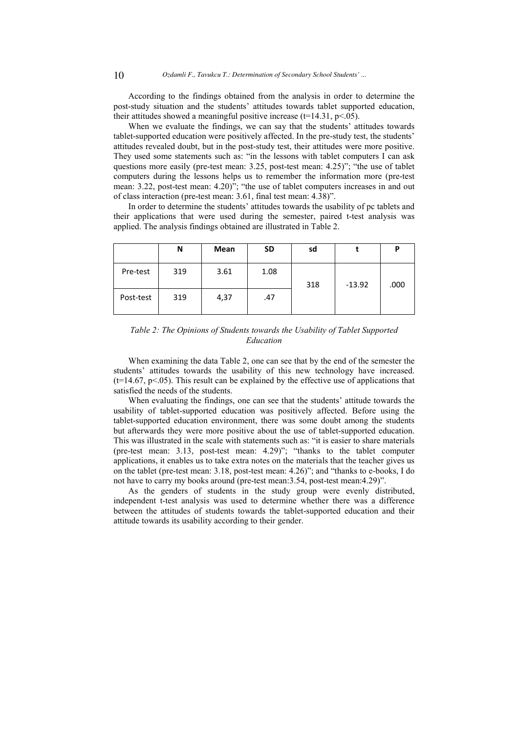According to the findings obtained from the analysis in order to determine the post-study situation and the students' attitudes towards tablet supported education, their attitudes showed a meaningful positive increase ( $t=14.31$ ,  $p<.05$ ).

When we evaluate the findings, we can say that the students' attitudes towards tablet-supported education were positively affected. In the pre-study test, the students' attitudes revealed doubt, but in the post-study test, their attitudes were more positive. They used some statements such as: "in the lessons with tablet computers I can ask questions more easily (pre-test mean: 3.25, post-test mean: 4.25)"; "the use of tablet computers during the lessons helps us to remember the information more (pre-test mean: 3.22, post-test mean:  $4.20$ <sup>3</sup>; "the use of tablet computers increases in and out of class interaction (pre-test mean: 3.61, final test mean: 4.38)".

In order to determine the students' attitudes towards the usability of pc tablets and their applications that were used during the semester, paired t-test analysis was applied. The analysis findings obtained are illustrated in Table 2.

|           | N   | Mean | <b>SD</b> | sd  |          | P    |
|-----------|-----|------|-----------|-----|----------|------|
| Pre-test  | 319 | 3.61 | 1.08      | 318 | $-13.92$ | .000 |
| Post-test | 319 | 4,37 | .47       |     |          |      |

*Table 2: The Opinions of Students towards the Usability of Tablet Supported Education* 

When examining the data Table 2, one can see that by the end of the semester the students' attitudes towards the usability of this new technology have increased.  $(t=14.67, p<0.05)$ . This result can be explained by the effective use of applications that satisfied the needs of the students.

When evaluating the findings, one can see that the students' attitude towards the usability of tablet-supported education was positively affected. Before using the tablet-supported education environment, there was some doubt among the students but afterwards they were more positive about the use of tablet-supported education. This was illustrated in the scale with statements such as: "it is easier to share materials (pre-test mean: 3.13, post-test mean: 4.29)"; "thanks to the tablet computer applications, it enables us to take extra notes on the materials that the teacher gives us on the tablet (pre-test mean: 3.18, post-test mean: 4.26)"; and "thanks to e-books, I do not have to carry my books around (pre-test mean:3.54, post-test mean:4.29)".

As the genders of students in the study group were evenly distributed, independent t-test analysis was used to determine whether there was a difference between the attitudes of students towards the tablet-supported education and their attitude towards its usability according to their gender.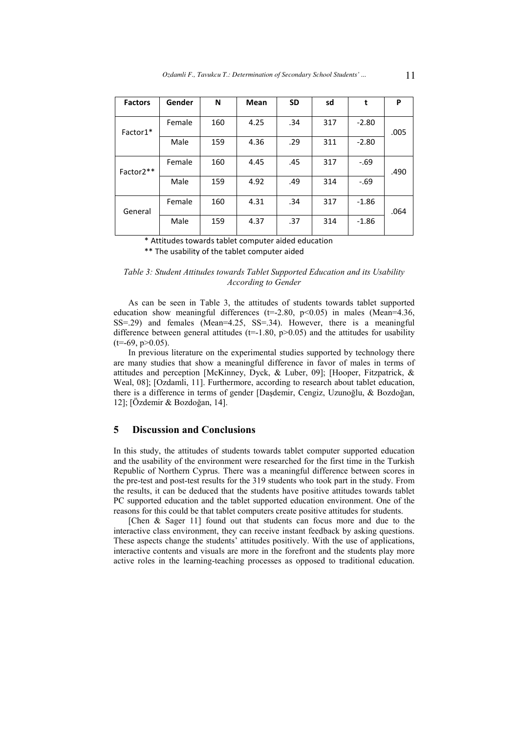| <b>Factors</b> | Gender | N   | <b>Mean</b> | <b>SD</b> | sd  | t       | P    |
|----------------|--------|-----|-------------|-----------|-----|---------|------|
| Factor1*       | Female | 160 | 4.25        | .34       | 317 | $-2.80$ | .005 |
|                | Male   | 159 | 4.36        | .29       | 311 | $-2.80$ |      |
| Factor2**      | Female | 160 | 4.45        | .45       | 317 | $-69$   | .490 |
|                | Male   | 159 | 4.92        | .49       | 314 | $-69$   |      |
| General        | Female | 160 | 4.31        | .34       | 317 | $-1.86$ | .064 |
|                | Male   | 159 | 4.37        | .37       | 314 | $-1.86$ |      |

\* Attitudes towards tablet computer aided education

\*\* The usability of the tablet computer aided

# *Table 3: Student Attitudes towards Tablet Supported Education and its Usability According to Gender*

As can be seen in Table 3, the attitudes of students towards tablet supported education show meaningful differences  $(t=2.80, p<0.05)$  in males (Mean=4.36, SS=.29) and females (Mean=4.25, SS=.34). However, there is a meaningful difference between general attitudes ( $t=1.80$ ,  $p>0.05$ ) and the attitudes for usability  $(t=69, p>0.05)$ .

In previous literature on the experimental studies supported by technology there are many studies that show a meaningful difference in favor of males in terms of attitudes and perception [McKinney, Dyck, & Luber, 09]; [Hooper, Fitzpatrick, & Weal, 08]; [Ozdamli, 11]. Furthermore, according to research about tablet education, there is a difference in terms of gender [Daşdemir, Cengiz, Uzunoğlu, & Bozdoğan, 12]; [Özdemir & Bozdoğan, 14].

# **5 Discussion and Conclusions**

In this study, the attitudes of students towards tablet computer supported education and the usability of the environment were researched for the first time in the Turkish Republic of Northern Cyprus. There was a meaningful difference between scores in the pre-test and post-test results for the 319 students who took part in the study. From the results, it can be deduced that the students have positive attitudes towards tablet PC supported education and the tablet supported education environment. One of the reasons for this could be that tablet computers create positive attitudes for students.

[Chen & Sager 11] found out that students can focus more and due to the interactive class environment, they can receive instant feedback by asking questions. These aspects change the students' attitudes positively. With the use of applications, interactive contents and visuals are more in the forefront and the students play more active roles in the learning-teaching processes as opposed to traditional education.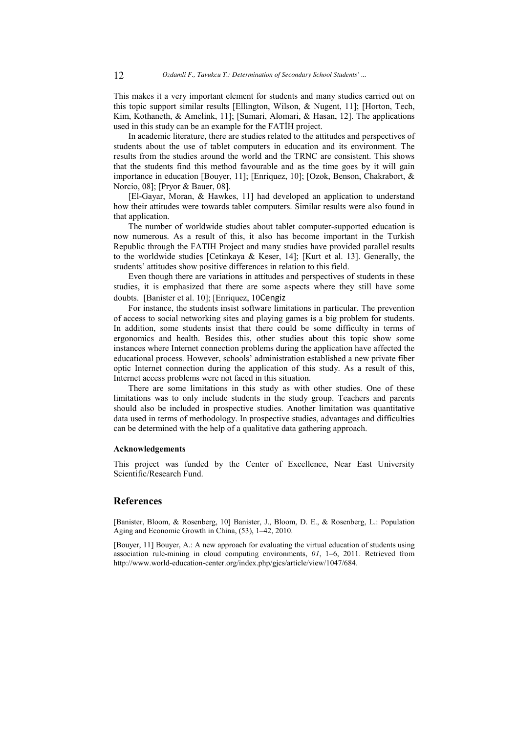This makes it a very important element for students and many studies carried out on this topic support similar results [Ellington, Wilson, & Nugent, 11]; [Horton, Tech, Kim, Kothaneth, & Amelink, 11]; [Sumari, Alomari, & Hasan, 12]. The applications used in this study can be an example for the FATİH project.

In academic literature, there are studies related to the attitudes and perspectives of students about the use of tablet computers in education and its environment. The results from the studies around the world and the TRNC are consistent. This shows that the students find this method favourable and as the time goes by it will gain importance in education [Bouyer, 11]; [Enriquez, 10]; [Ozok, Benson, Chakrabort, & Norcio, 08]; [Pryor & Bauer, 08].

[El-Gayar, Moran, & Hawkes, 11] had developed an application to understand how their attitudes were towards tablet computers. Similar results were also found in that application.

The number of worldwide studies about tablet computer-supported education is now numerous. As a result of this, it also has become important in the Turkish Republic through the FATIH Project and many studies have provided parallel results to the worldwide studies [Cetinkaya & Keser, 14]; [Kurt et al. 13]. Generally, the students' attitudes show positive differences in relation to this field.

Even though there are variations in attitudes and perspectives of students in these studies, it is emphasized that there are some aspects where they still have some doubts. [Banister et al. 10]; [Enriquez, 10Cengiz

For instance, the students insist software limitations in particular. The prevention of access to social networking sites and playing games is a big problem for students. In addition, some students insist that there could be some difficulty in terms of ergonomics and health. Besides this, other studies about this topic show some instances where Internet connection problems during the application have affected the educational process. However, schools' administration established a new private fiber optic Internet connection during the application of this study. As a result of this, Internet access problems were not faced in this situation.

There are some limitations in this study as with other studies. One of these limitations was to only include students in the study group. Teachers and parents should also be included in prospective studies. Another limitation was quantitative data used in terms of methodology. In prospective studies, advantages and difficulties can be determined with the help of a qualitative data gathering approach.

#### **Acknowledgements**

This project was funded by the Center of Excellence, Near East University Scientific/Research Fund.

### **References**

[Banister, Bloom, & Rosenberg, 10] Banister, J., Bloom, D. E., & Rosenberg, L.: Population Aging and Economic Growth in China, (53), 1–42, 2010.

[Bouyer, 11] Bouyer, A.: A new approach for evaluating the virtual education of students using association rule-mining in cloud computing environments, *01*, 1–6, 2011. Retrieved from http://www.world-education-center.org/index.php/gjcs/article/view/1047/684.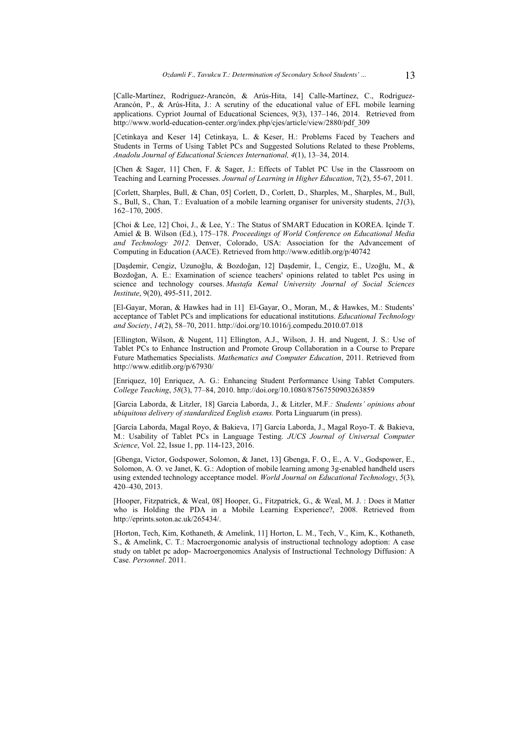[Calle-Martínez, Rodriguez-Arancón, & Arús-Hita, 14] Calle-Martínez, C., Rodriguez-Arancón, P., & Arús-Hita, J.: A scrutiny of the educational value of EFL mobile learning applications. Cypriot Journal of Educational Sciences, 9(3), 137-146, 2014. Retrieved from http://www.world-education-center.org/index.php/cjes/article/view/2880/pdf\_309

[Cetinkaya and Keser 14] Cetinkaya, L. & Keser, H.: Problems Faced by Teachers and Students in Terms of Using Tablet PCs and Suggested Solutions Related to these Problems, *Anadolu Journal of Educational Sciences International, 4*(1), 13–34, 2014.

[Chen & Sager, 11] Chen, F. & Sager, J.: Effects of Tablet PC Use in the Classroom on Teaching and Learning Processes. *Journal of Learning in Higher Education*, 7(2), 55-67, 2011.

[Corlett, Sharples, Bull, & Chan, 05] Corlett, D., Corlett, D., Sharples, M., Sharples, M., Bull, S., Bull, S., Chan, T.: Evaluation of a mobile learning organiser for university students, *21*(3), 162–170, 2005.

[Choi & Lee, 12] Choi, J., & Lee, Y.: The Status of SMART Education in KOREA. Içinde T. Amiel & B. Wilson (Ed.), 175–178. *Proceedings of World Conference on Educational Media and Technology 2012*. Denver, Colorado, USA: Association for the Advancement of Computing in Education (AACE). Retrieved from http://www.editlib.org/p/40742

[Daşdemir, Cengiz, Uzunoğlu, & Bozdoğan, 12] Daşdemir, İ., Cengiz, E., Uzoğlu, M., & Bozdoğan, A. E.: Examination of science teachers' opinions related to tablet Pcs using in science and technology courses. *Mustafa Kemal University Journal of Social Sciences Institute*, 9(20), 495-511, 2012.

[El-Gayar, Moran, & Hawkes had in 11] El-Gayar, O., Moran, M., & Hawkes, M.: Students' acceptance of Tablet PCs and implications for educational institutions. *Educational Technology and Society*, *14*(2), 58–70, 2011. http://doi.org/10.1016/j.compedu.2010.07.018

[Ellington, Wilson, & Nugent, 11] Ellington, A.J., Wilson, J. H. and Nugent, J. S.: Use of Tablet PCs to Enhance Instruction and Promote Group Collaboration in a Course to Prepare Future Mathematics Specialists. *Mathematics and Computer Education*, 2011. Retrieved from http://www.editlib.org/p/67930/

[Enriquez, 10] Enriquez, A. G.: Enhancing Student Performance Using Tablet Computers. *College Teaching*, *58*(3), 77–84, 2010. http://doi.org/10.1080/87567550903263859

[Garcia Laborda, & Litzler, 18] Garcia Laborda, J., & Litzler, M.F*.: Students' opinions about ubiquitous delivery of standardized English exams.* Porta Linguarum (in press).

[García Laborda, Magal Royo, & Bakieva, 17] García Laborda, J., Magal Royo-T. & Bakieva, M.: Usability of Tablet PCs in Language Testing. *JUCS Journal of Universal Computer Science*, Vol. 22, Issue 1, pp. 114-123, 2016.

[Gbenga, Victor, Godspower, Solomon, & Janet, 13] Gbenga, F. O., E., A. V., Godspower, E., Solomon, A. O. ve Janet, K. G.: Adoption of mobile learning among 3g-enabled handheld users using extended technology acceptance model. *World Journal on Educational Technology*, *5*(3), 420–430, 2013.

[Hooper, Fitzpatrick, & Weal, 08] Hooper, G., Fitzpatrick, G., & Weal, M. J. : Does it Matter who is Holding the PDA in a Mobile Learning Experience?, 2008. Retrieved from http://eprints.soton.ac.uk/265434/.

[Horton, Tech, Kim, Kothaneth, & Amelink, 11] Horton, L. M., Tech, V., Kim, K., Kothaneth, S., & Amelink, C. T.: Macroergonomic analysis of instructional technology adoption: A case study on tablet pc adop- Macroergonomics Analysis of Instructional Technology Diffusion: A Case. *Personnel*. 2011.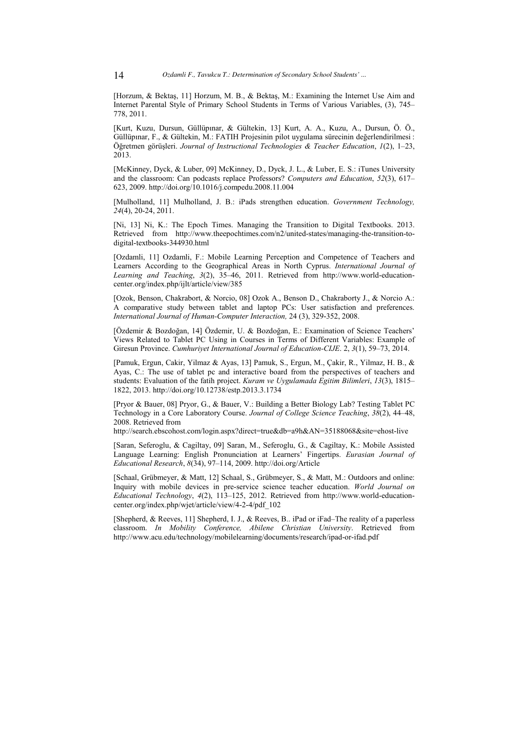[Horzum, & Bektaş, 11] Horzum, M. B., & Bektaş, M.: Examining the Internet Use Aim and Internet Parental Style of Primary School Students in Terms of Various Variables, (3), 745– 778, 2011.

[Kurt, Kuzu, Dursun, Güllüpınar, & Gültekin, 13] Kurt, A. A., Kuzu, A., Dursun, Ö. Ö., Güllüpınar, F., & Gültekin, M.: FATIH Projesinin pilot uygulama sürecinin değerlendirilmesi : Öğretmen görüşleri. *Journal of Instructional Technologies & Teacher Education*, *1*(2), 1–23, 2013.

[McKinney, Dyck, & Luber, 09] McKinney, D., Dyck, J. L., & Luber, E. S.: iTunes University and the classroom: Can podcasts replace Professors? *Computers and Education*, *52*(3), 617– 623, 2009. http://doi.org/10.1016/j.compedu.2008.11.004

[Mulholland, 11] Mulholland, J. B.: iPads strengthen education. *Government Technology, 24*(4), 20-24, 2011.

[Ni, 13] Ni, K.: The Epoch Times. Managing the Transition to Digital Textbooks. 2013. Retrieved from http://www.theepochtimes.com/n2/united-states/managing-the-transition-todigital-textbooks-344930.html

[Ozdamli, 11] Ozdamli, F.: Mobile Learning Perception and Competence of Teachers and Learners According to the Geographical Areas in North Cyprus. *International Journal of Learning and Teaching*, *3*(2), 35–46, 2011. Retrieved from http://www.world-educationcenter.org/index.php/ijlt/article/view/385

[Ozok, Benson, Chakrabort, & Norcio, 08] Ozok A., Benson D., Chakraborty J., & Norcio A.: A comparative study between tablet and laptop PCs: User satisfaction and preferences. *International Journal of Human-Computer Interaction,* 24 (3), 329-352, 2008.

[Özdemir & Bozdoğan, 14] Özdemir, U. & Bozdoğan, E.: Examination of Science Teachers' Views Related to Tablet PC Using in Courses in Terms of Different Variables: Example of Giresun Province. *Cumhuriyet International Journal of Education-CIJE*. 2, *3*(1), 59–73, 2014.

[Pamuk, Ergun, Cakir, Yilmaz & Ayas, 13] Pamuk, S., Ergun, M., Çakir, R., Yilmaz, H. B., & Ayas, C.: The use of tablet pc and interactive board from the perspectives of teachers and students: Evaluation of the fatı̇ h project. *Kuram ve Uygulamada Egitim Bilimleri*, *13*(3), 1815– 1822, 2013. http://doi.org/10.12738/estp.2013.3.1734

[Pryor & Bauer, 08] Pryor, G., & Bauer, V.: Building a Better Biology Lab? Testing Tablet PC Technology in a Core Laboratory Course. *Journal of College Science Teaching*, *38*(2), 44–48, 2008. Retrieved from

http://search.ebscohost.com/login.aspx?direct=true&db=a9h&AN=35188068&site=ehost-live

[Saran, Seferoglu, & Cagiltay, 09] Saran, M., Seferoglu, G., & Cagiltay, K.: Mobile Assisted Language Learning: English Pronunciation at Learners' Fingertips. *Eurasian Journal of Educational Research*, *8*(34), 97–114, 2009. http://doi.org/Article

[Schaal, Grübmeyer, & Matt, 12] Schaal, S., Grübmeyer, S., & Matt, M.: Outdoors and online: Inquiry with mobile devices in pre-service science teacher education. *World Journal on Educational Technology*, *4*(2), 113–125, 2012. Retrieved from http://www.world-educationcenter.org/index.php/wjet/article/view/4-2-4/pdf\_102

[Shepherd, & Reeves, 11] Shepherd, I. J., & Reeves, B.. iPad or iFad–The reality of a paperless classroom. *In Mobility Conference, Abilene Christian University*. Retrieved from http://www.acu.edu/technology/mobilelearning/documents/research/ipad-or-ifad.pdf